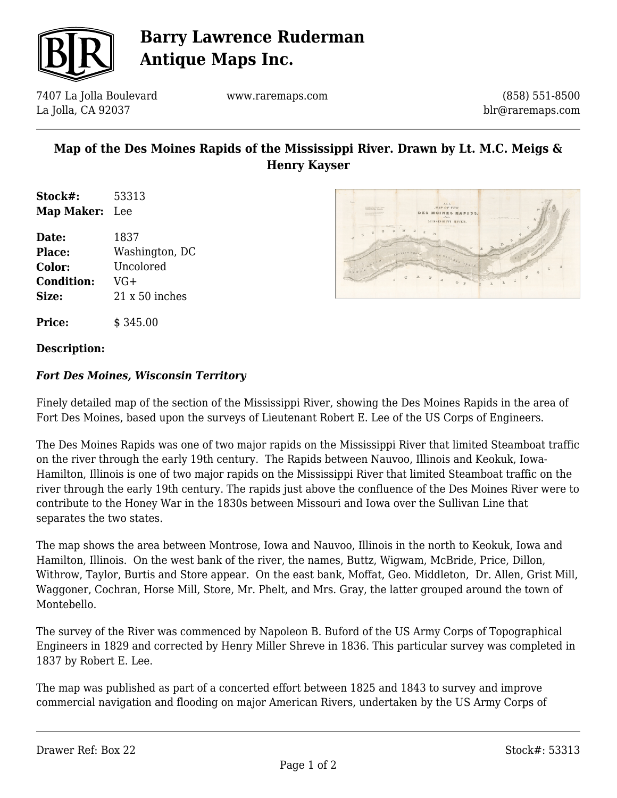

# **Barry Lawrence Ruderman Antique Maps Inc.**

7407 La Jolla Boulevard La Jolla, CA 92037

www.raremaps.com

(858) 551-8500 blr@raremaps.com

## **Map of the Des Moines Rapids of the Mississippi River. Drawn by Lt. M.C. Meigs & Henry Kayser**

**Stock#:** 53313 **Map Maker:** Lee

**Date:** 1837 **Place:** Washington, DC **Color:** Uncolored **Condition:** VG+ **Size:** 21 x 50 inches



**Price:**  $\qquad$  \$ 345.00

#### **Description:**

### *Fort Des Moines, Wisconsin Territory*

Finely detailed map of the section of the Mississippi River, showing the Des Moines Rapids in the area of Fort Des Moines, based upon the surveys of Lieutenant Robert E. Lee of the US Corps of Engineers.

The Des Moines Rapids was one of two major rapids on the Mississippi River that limited Steamboat traffic on the river through the early 19th century. The Rapids between Nauvoo, Illinois and Keokuk, Iowa-Hamilton, Illinois is one of two major rapids on the Mississippi River that limited Steamboat traffic on the river through the early 19th century. The rapids just above the confluence of the Des Moines River were to contribute to the Honey War in the 1830s between Missouri and Iowa over the Sullivan Line that separates the two states.

The map shows the area between Montrose, Iowa and Nauvoo, Illinois in the north to Keokuk, Iowa and Hamilton, Illinois. On the west bank of the river, the names, Buttz, Wigwam, McBride, Price, Dillon, Withrow, Taylor, Burtis and Store appear. On the east bank, Moffat, Geo. Middleton, Dr. Allen, Grist Mill, Waggoner, Cochran, Horse Mill, Store, Mr. Phelt, and Mrs. Gray, the latter grouped around the town of Montebello.

The survey of the River was commenced by Napoleon B. Buford of the US Army Corps of Topographical Engineers in 1829 and corrected by Henry Miller Shreve in 1836. This particular survey was completed in 1837 by Robert E. Lee.

The map was published as part of a concerted effort between 1825 and 1843 to survey and improve commercial navigation and flooding on major American Rivers, undertaken by the US Army Corps of